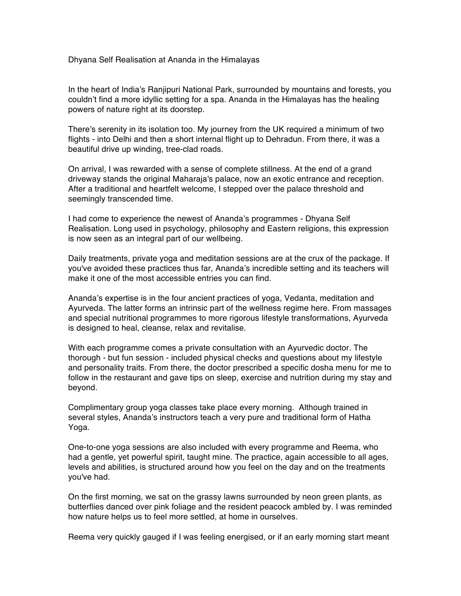Dhyana Self Realisation at Ananda in the Himalayas

In the heart of India's Ranjipuri National Park, surrounded by mountains and forests, you couldn't find a more idyllic setting for a spa. Ananda in the Himalayas has the healing powers of nature right at its doorstep.

There's serenity in its isolation too. My journey from the UK required a minimum of two flights - into Delhi and then a short internal flight up to Dehradun. From there, it was a beautiful drive up winding, tree-clad roads.

On arrival, I was rewarded with a sense of complete stillness. At the end of a grand driveway stands the original Maharaja's palace, now an exotic entrance and reception. After a traditional and heartfelt welcome, I stepped over the palace threshold and seemingly transcended time.

I had come to experience the newest of Ananda's programmes - Dhyana Self Realisation. Long used in psychology, philosophy and Eastern religions, this expression is now seen as an integral part of our wellbeing.

Daily treatments, private yoga and meditation sessions are at the crux of the package. If you've avoided these practices thus far, Ananda's incredible setting and its teachers will make it one of the most accessible entries you can find.

Ananda's expertise is in the four ancient practices of yoga, Vedanta, meditation and Ayurveda. The latter forms an intrinsic part of the wellness regime here. From massages and special nutritional programmes to more rigorous lifestyle transformations, Ayurveda is designed to heal, cleanse, relax and revitalise.

With each programme comes a private consultation with an Ayurvedic doctor. The thorough - but fun session - included physical checks and questions about my lifestyle and personality traits. From there, the doctor prescribed a specific dosha menu for me to follow in the restaurant and gave tips on sleep, exercise and nutrition during my stay and beyond.

Complimentary group yoga classes take place every morning. Although trained in several styles, Ananda's instructors teach a very pure and traditional form of Hatha Yoga.

One-to-one yoga sessions are also included with every programme and Reema, who had a gentle, yet powerful spirit, taught mine. The practice, again accessible to all ages, levels and abilities, is structured around how you feel on the day and on the treatments you've had.

On the first morning, we sat on the grassy lawns surrounded by neon green plants, as butterflies danced over pink foliage and the resident peacock ambled by. I was reminded how nature helps us to feel more settled, at home in ourselves.

Reema very quickly gauged if I was feeling energised, or if an early morning start meant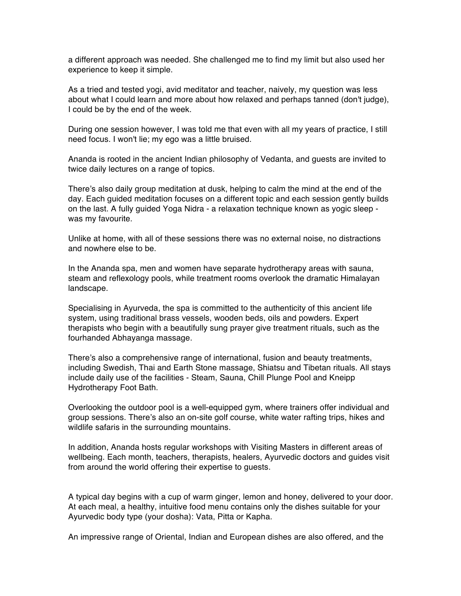a different approach was needed. She challenged me to find my limit but also used her experience to keep it simple.

As a tried and tested yogi, avid meditator and teacher, naively, my question was less about what I could learn and more about how relaxed and perhaps tanned (don't judge), I could be by the end of the week.

During one session however, I was told me that even with all my years of practice, I still need focus. I won't lie; my ego was a little bruised.

Ananda is rooted in the ancient Indian philosophy of Vedanta, and guests are invited to twice daily lectures on a range of topics.

There's also daily group meditation at dusk, helping to calm the mind at the end of the day. Each guided meditation focuses on a different topic and each session gently builds on the last. A fully guided Yoga Nidra - a relaxation technique known as yogic sleep was my favourite.

Unlike at home, with all of these sessions there was no external noise, no distractions and nowhere else to be.

In the Ananda spa, men and women have separate hydrotherapy areas with sauna, steam and reflexology pools, while treatment rooms overlook the dramatic Himalayan landscape.

Specialising in Ayurveda, the spa is committed to the authenticity of this ancient life system, using traditional brass vessels, wooden beds, oils and powders. Expert therapists who begin with a beautifully sung prayer give treatment rituals, such as the fourhanded Abhayanga massage.

There's also a comprehensive range of international, fusion and beauty treatments, including Swedish, Thai and Earth Stone massage, Shiatsu and Tibetan rituals. All stays include daily use of the facilities - Steam, Sauna, Chill Plunge Pool and Kneipp Hydrotherapy Foot Bath.

Overlooking the outdoor pool is a well-equipped gym, where trainers offer individual and group sessions. There's also an on-site golf course, white water rafting trips, hikes and wildlife safaris in the surrounding mountains.

In addition, Ananda hosts regular workshops with Visiting Masters in different areas of wellbeing. Each month, teachers, therapists, healers, Ayurvedic doctors and guides visit from around the world offering their expertise to guests.

A typical day begins with a cup of warm ginger, lemon and honey, delivered to your door. At each meal, a healthy, intuitive food menu contains only the dishes suitable for your Ayurvedic body type (your dosha): Vata, Pitta or Kapha.

An impressive range of Oriental, Indian and European dishes are also offered, and the